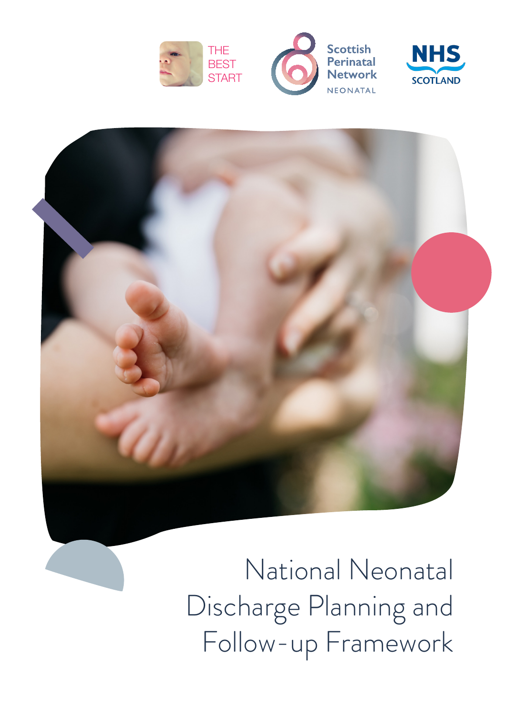







National Neonatal Discharge Planning and Follow-up Framework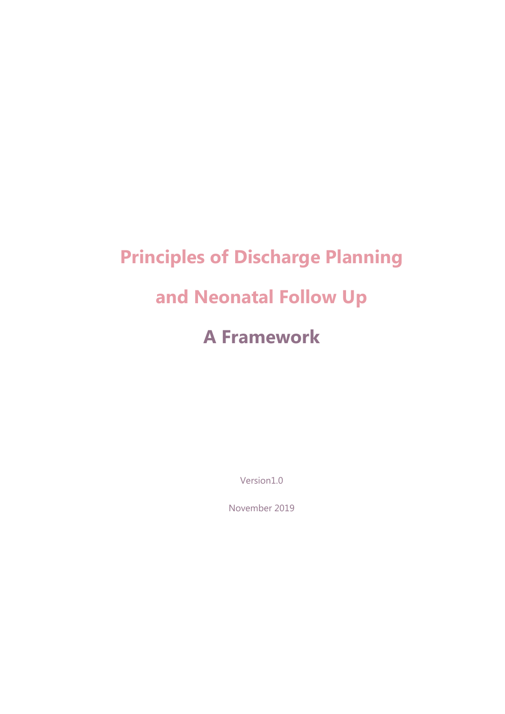# **Principles of Discharge Planning and Neonatal Follow Up A Framework**

Version1.0

November 2019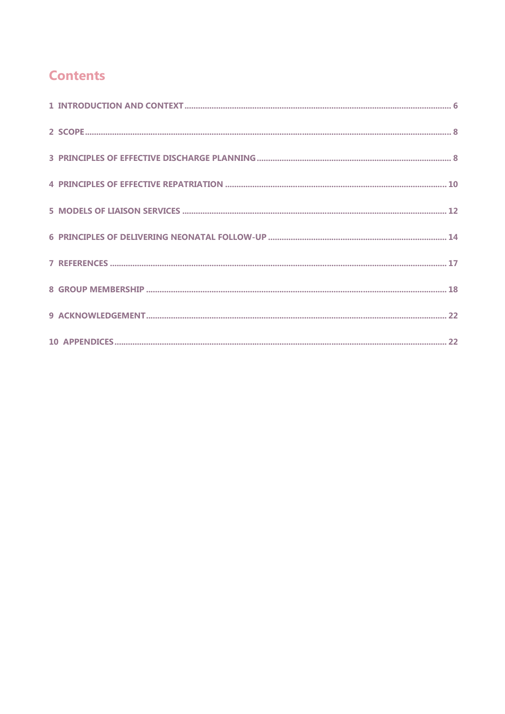## **Contents**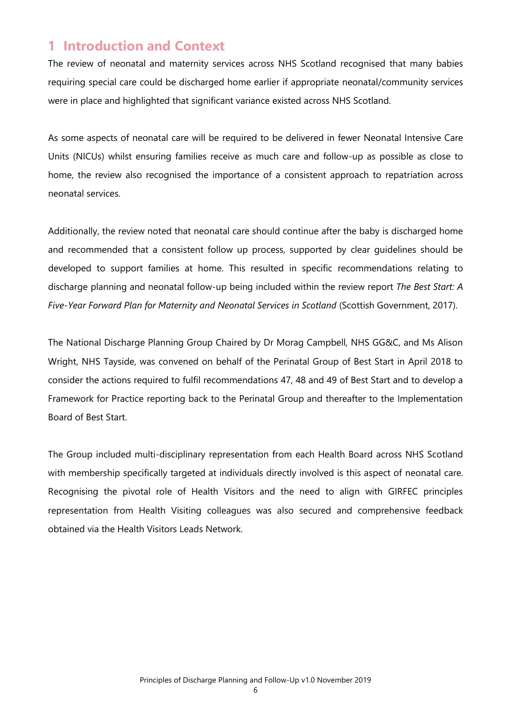### **1 Introduction and Context**

The review of neonatal and maternity services across NHS Scotland recognised that many babies requiring special care could be discharged home earlier if appropriate neonatal/community services were in place and highlighted that significant variance existed across NHS Scotland.

As some aspects of neonatal care will be required to be delivered in fewer Neonatal Intensive Care Units (NICUs) whilst ensuring families receive as much care and follow-up as possible as close to home, the review also recognised the importance of a consistent approach to repatriation across neonatal services.

Additionally, the review noted that neonatal care should continue after the baby is discharged home and recommended that a consistent follow up process, supported by clear guidelines should be developed to support families at home. This resulted in specific recommendations relating to discharge planning and neonatal follow-up being included within the review report *The Best Start: A Five-Year Forward Plan for Maternity and Neonatal Services in Scotland* (Scottish Government, 2017).

The National Discharge Planning Group Chaired by Dr Morag Campbell, NHS GG&C, and Ms Alison Wright, NHS Tayside, was convened on behalf of the Perinatal Group of Best Start in April 2018 to consider the actions required to fulfil recommendations 47, 48 and 49 of Best Start and to develop a Framework for Practice reporting back to the Perinatal Group and thereafter to the Implementation Board of Best Start.

The Group included multi-disciplinary representation from each Health Board across NHS Scotland with membership specifically targeted at individuals directly involved is this aspect of neonatal care. Recognising the pivotal role of Health Visitors and the need to align with GIRFEC principles representation from Health Visiting colleagues was also secured and comprehensive feedback obtained via the Health Visitors Leads Network.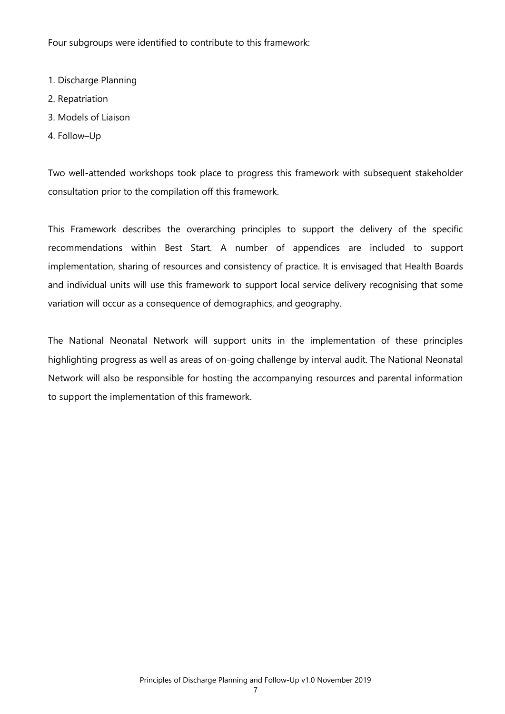Four subgroups were identified to contribute to this framework:

- 1. Discharge Planning
- 2. Repatriation
- 3. Models of Liaison
- 4. Follow–Up

Two well-attended workshops took place to progress this framework with subsequent stakeholder consultation prior to the compilation off this framework.

This Framework describes the overarching principles to support the delivery of the specific recommendations within Best Start. A number of appendices are included to support implementation, sharing of resources and consistency of practice. It is envisaged that Health Boards and individual units will use this framework to support local service delivery recognising that some variation will occur as a consequence of demographics, and geography.

The National Neonatal Network will support units in the implementation of these principles highlighting progress as well as areas of on-going challenge by interval audit. The National Neonatal Network will also be responsible for hosting the accompanying resources and parental information to support the implementation of this framework.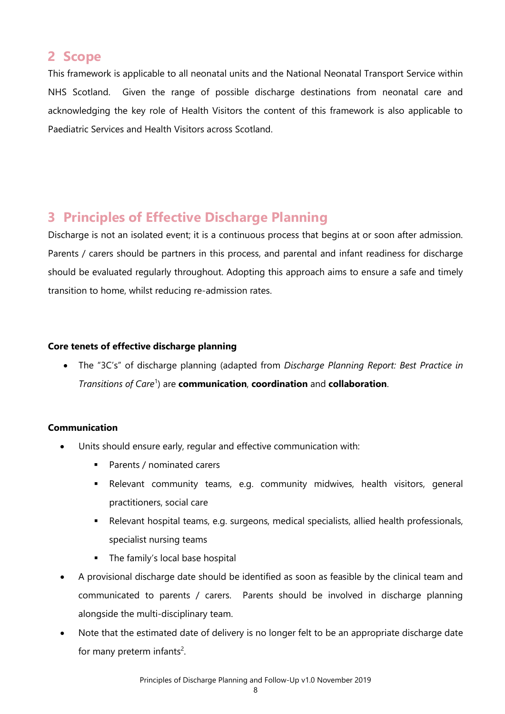## **2 Scope**

This framework is applicable to all neonatal units and the National Neonatal Transport Service within NHS Scotland. Given the range of possible discharge destinations from neonatal care and acknowledging the key role of Health Visitors the content of this framework is also applicable to Paediatric Services and Health Visitors across Scotland.

## **3 Principles of Effective Discharge Planning**

Discharge is not an isolated event; it is a continuous process that begins at or soon after admission. Parents / carers should be partners in this process, and parental and infant readiness for discharge should be evaluated regularly throughout. Adopting this approach aims to ensure a safe and timely transition to home, whilst reducing re-admission rates.

#### **Core tenets of effective discharge planning**

 The "3C's" of discharge planning (adapted from *Discharge Planning Report: Best Practice in Transitions of Care*<sup>1</sup> ) are **communication**, **coordination** and **collaboration**.

#### **Communication**

- Units should ensure early, regular and effective communication with:
	- **Parents / nominated carers**
	- Relevant community teams, e.g. community midwives, health visitors, general practitioners, social care
	- Relevant hospital teams, e.g. surgeons, medical specialists, allied health professionals, specialist nursing teams
	- The family's local base hospital
- A provisional discharge date should be identified as soon as feasible by the clinical team and communicated to parents / carers. Parents should be involved in discharge planning alongside the multi-disciplinary team.
- Note that the estimated date of delivery is no longer felt to be an appropriate discharge date for many preterm infants<sup>2</sup>.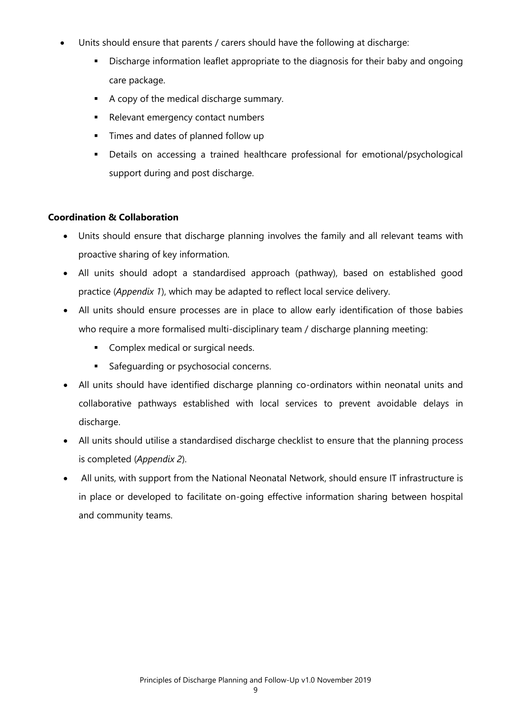- Units should ensure that parents / carers should have the following at discharge:
	- Discharge information leaflet appropriate to the diagnosis for their baby and ongoing care package.
	- A copy of the medical discharge summary.
	- Relevant emergency contact numbers
	- Times and dates of planned follow up
	- Details on accessing a trained healthcare professional for emotional/psychological support during and post discharge.

#### **Coordination & Collaboration**

- Units should ensure that discharge planning involves the family and all relevant teams with proactive sharing of key information.
- All units should adopt a standardised approach (pathway), based on established good practice (*Appendix 1*), which may be adapted to reflect local service delivery.
- All units should ensure processes are in place to allow early identification of those babies who require a more formalised multi-disciplinary team / discharge planning meeting:
	- **Complex medical or surgical needs.**
	- **Safeguarding or psychosocial concerns.**
- All units should have identified discharge planning co-ordinators within neonatal units and collaborative pathways established with local services to prevent avoidable delays in discharge.
- All units should utilise a standardised discharge checklist to ensure that the planning process is completed (*Appendix 2*).
- All units, with support from the National Neonatal Network, should ensure IT infrastructure is in place or developed to facilitate on-going effective information sharing between hospital and community teams.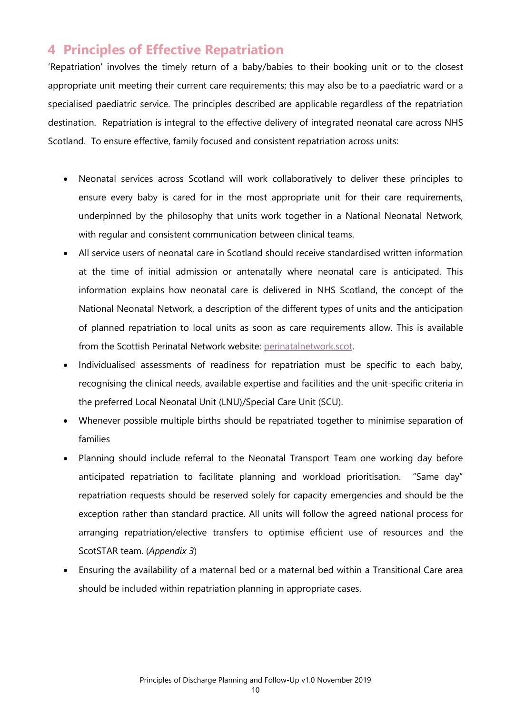## **4 Principles of Effective Repatriation**

'Repatriation' involves the timely return of a baby/babies to their booking unit or to the closest appropriate unit meeting their current care requirements; this may also be to a paediatric ward or a specialised paediatric service. The principles described are applicable regardless of the repatriation destination. Repatriation is integral to the effective delivery of integrated neonatal care across NHS Scotland. To ensure effective, family focused and consistent repatriation across units:

- Neonatal services across Scotland will work collaboratively to deliver these principles to ensure every baby is cared for in the most appropriate unit for their care requirements, underpinned by the philosophy that units work together in a National Neonatal Network, with regular and consistent communication between clinical teams.
- All service users of neonatal care in Scotland should receive standardised written information at the time of initial admission or antenatally where neonatal care is anticipated. This information explains how neonatal care is delivered in NHS Scotland, the concept of the National Neonatal Network, a description of the different types of units and the anticipation of planned repatriation to local units as soon as care requirements allow. This is available from the Scottish Perinatal Network website: perinatalnetwork.scot.
- Individualised assessments of readiness for repatriation must be specific to each baby, recognising the clinical needs, available expertise and facilities and the unit-specific criteria in the preferred Local Neonatal Unit (LNU)/Special Care Unit (SCU).
- Whenever possible multiple births should be repatriated together to minimise separation of families
- Planning should include referral to the Neonatal Transport Team one working day before anticipated repatriation to facilitate planning and workload prioritisation. "Same day" repatriation requests should be reserved solely for capacity emergencies and should be the exception rather than standard practice. All units will follow the agreed national process for arranging repatriation/elective transfers to optimise efficient use of resources and the ScotSTAR team. (*Appendix 3*)
- Ensuring the availability of a maternal bed or a maternal bed within a Transitional Care area should be included within repatriation planning in appropriate cases.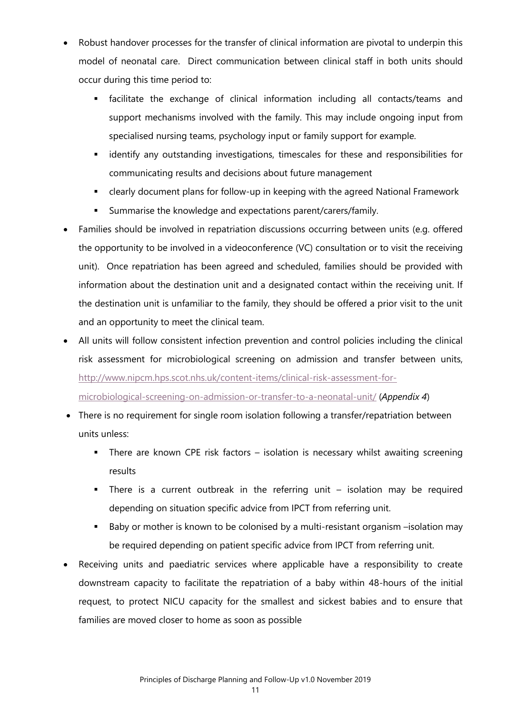- Robust handover processes for the transfer of clinical information are pivotal to underpin this model of neonatal care. Direct communication between clinical staff in both units should occur during this time period to:
	- facilitate the exchange of clinical information including all contacts/teams and support mechanisms involved with the family. This may include ongoing input from specialised nursing teams, psychology input or family support for example.
	- identify any outstanding investigations, timescales for these and responsibilities for communicating results and decisions about future management
	- clearly document plans for follow-up in keeping with the agreed National Framework
	- Summarise the knowledge and expectations parent/carers/family.
- Families should be involved in repatriation discussions occurring between units (e.g. offered the opportunity to be involved in a videoconference (VC) consultation or to visit the receiving unit). Once repatriation has been agreed and scheduled, families should be provided with information about the destination unit and a designated contact within the receiving unit. If the destination unit is unfamiliar to the family, they should be offered a prior visit to the unit and an opportunity to meet the clinical team.
- All units will follow consistent infection prevention and control policies including the clinical risk assessment for microbiological screening on admission and transfer between units, http://www.nipcm.hps.scot.nhs.uk/content-items/clinical-risk-assessment-formicrobiological-screening-on-admission-or-transfer-to-a-neonatal-unit/ (*Appendix 4*)
- There is no requirement for single room isolation following a transfer/repatriation between units unless:
	- There are known CPE risk factors isolation is necessary whilst awaiting screening results
	- There is a current outbreak in the referring unit isolation may be required depending on situation specific advice from IPCT from referring unit.
	- Baby or mother is known to be colonised by a multi-resistant organism –isolation may be required depending on patient specific advice from IPCT from referring unit.
- Receiving units and paediatric services where applicable have a responsibility to create downstream capacity to facilitate the repatriation of a baby within 48-hours of the initial request, to protect NICU capacity for the smallest and sickest babies and to ensure that families are moved closer to home as soon as possible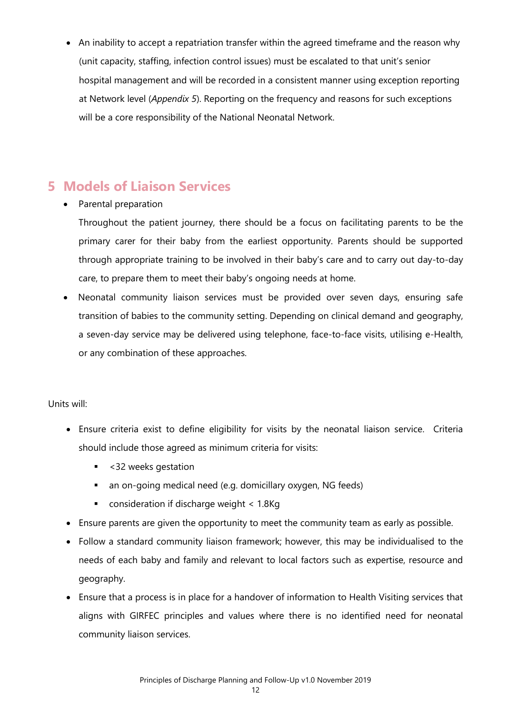• An inability to accept a repatriation transfer within the agreed timeframe and the reason why (unit capacity, staffing, infection control issues) must be escalated to that unit's senior hospital management and will be recorded in a consistent manner using exception reporting at Network level (*Appendix 5*). Reporting on the frequency and reasons for such exceptions will be a core responsibility of the National Neonatal Network.

## **5 Models of Liaison Services**

#### • Parental preparation

Throughout the patient journey, there should be a focus on facilitating parents to be the primary carer for their baby from the earliest opportunity. Parents should be supported through appropriate training to be involved in their baby's care and to carry out day-to-day care, to prepare them to meet their baby's ongoing needs at home.

 Neonatal community liaison services must be provided over seven days, ensuring safe transition of babies to the community setting. Depending on clinical demand and geography, a seven-day service may be delivered using telephone, face-to-face visits, utilising e-Health, or any combination of these approaches.

#### Units will:

- Ensure criteria exist to define eligibility for visits by the neonatal liaison service. Criteria should include those agreed as minimum criteria for visits:
	- <32 weeks gestation
	- an on-going medical need (e.g. domicillary oxygen, NG feeds)
	- **EXECONSTANCE CONSIDER** consideration if discharge weight < 1.8Kg
- Ensure parents are given the opportunity to meet the community team as early as possible.
- Follow a standard community liaison framework; however, this may be individualised to the needs of each baby and family and relevant to local factors such as expertise, resource and geography.
- Ensure that a process is in place for a handover of information to Health Visiting services that aligns with GIRFEC principles and values where there is no identified need for neonatal community liaison services.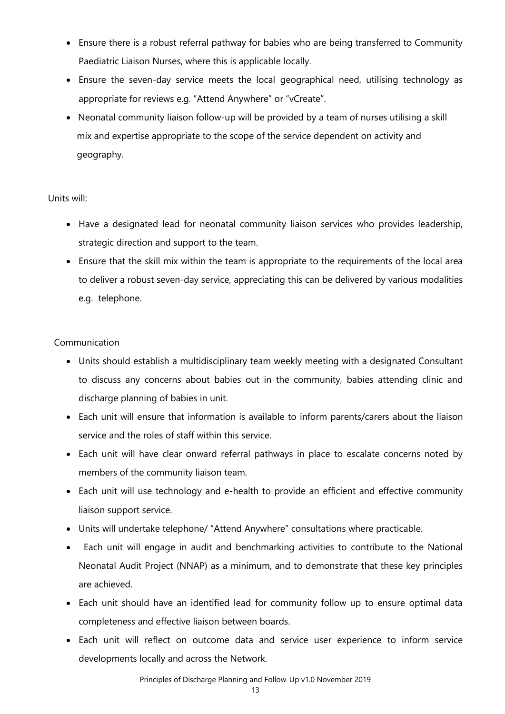- Ensure there is a robust referral pathway for babies who are being transferred to Community Paediatric Liaison Nurses, where this is applicable locally.
- Ensure the seven-day service meets the local geographical need, utilising technology as appropriate for reviews e.g. "Attend Anywhere" or "vCreate".
- Neonatal community liaison follow-up will be provided by a team of nurses utilising a skill mix and expertise appropriate to the scope of the service dependent on activity and geography.

#### Units will:

- Have a designated lead for neonatal community liaison services who provides leadership, strategic direction and support to the team.
- Ensure that the skill mix within the team is appropriate to the requirements of the local area to deliver a robust seven-day service, appreciating this can be delivered by various modalities e.g. telephone.

#### Communication

- Units should establish a multidisciplinary team weekly meeting with a designated Consultant to discuss any concerns about babies out in the community, babies attending clinic and discharge planning of babies in unit.
- Each unit will ensure that information is available to inform parents/carers about the liaison service and the roles of staff within this service.
- Each unit will have clear onward referral pathways in place to escalate concerns noted by members of the community liaison team.
- Each unit will use technology and e-health to provide an efficient and effective community liaison support service.
- Units will undertake telephone/ "Attend Anywhere" consultations where practicable.
- Each unit will engage in audit and benchmarking activities to contribute to the National Neonatal Audit Project (NNAP) as a minimum, and to demonstrate that these key principles are achieved.
- Each unit should have an identified lead for community follow up to ensure optimal data completeness and effective liaison between boards.
- Each unit will reflect on outcome data and service user experience to inform service developments locally and across the Network.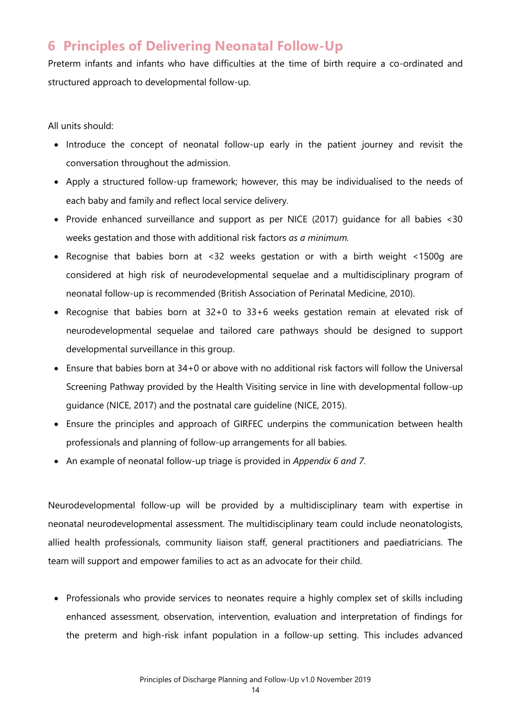## **6 Principles of Delivering Neonatal Follow-Up**

Preterm infants and infants who have difficulties at the time of birth require a co-ordinated and structured approach to developmental follow-up.

All units should:

- Introduce the concept of neonatal follow-up early in the patient journey and revisit the conversation throughout the admission.
- Apply a structured follow-up framework; however, this may be individualised to the needs of each baby and family and reflect local service delivery.
- Provide enhanced surveillance and support as per NICE (2017) guidance for all babies <30 weeks gestation and those with additional risk factors *as a minimum.*
- Recognise that babies born at <32 weeks gestation or with a birth weight <1500g are considered at high risk of neurodevelopmental sequelae and a multidisciplinary program of neonatal follow-up is recommended (British Association of Perinatal Medicine, 2010).
- Recognise that babies born at 32+0 to 33+6 weeks gestation remain at elevated risk of neurodevelopmental sequelae and tailored care pathways should be designed to support developmental surveillance in this group.
- Ensure that babies born at 34+0 or above with no additional risk factors will follow the Universal Screening Pathway provided by the Health Visiting service in line with developmental follow-up guidance (NICE, 2017) and the postnatal care guideline (NICE, 2015).
- Ensure the principles and approach of GIRFEC underpins the communication between health professionals and planning of follow-up arrangements for all babies.
- An example of neonatal follow-up triage is provided in *Appendix 6 and 7.*

Neurodevelopmental follow-up will be provided by a multidisciplinary team with expertise in neonatal neurodevelopmental assessment. The multidisciplinary team could include neonatologists, allied health professionals, community liaison staff, general practitioners and paediatricians. The team will support and empower families to act as an advocate for their child.

• Professionals who provide services to neonates require a highly complex set of skills including enhanced assessment, observation, intervention, evaluation and interpretation of findings for the preterm and high-risk infant population in a follow-up setting. This includes advanced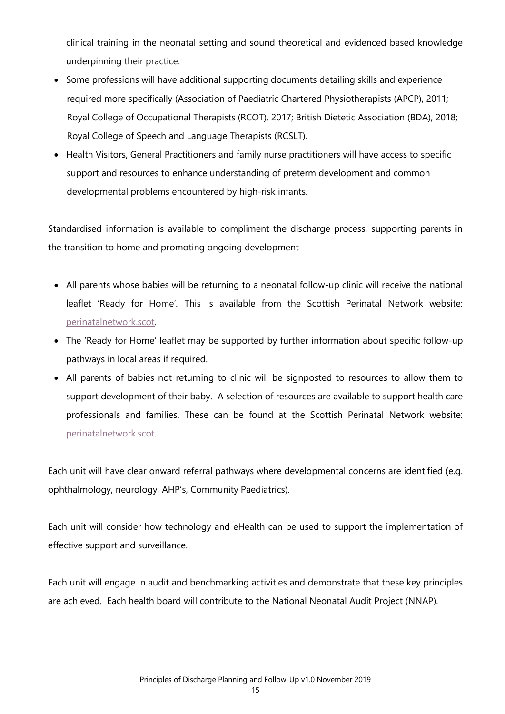clinical training in the neonatal setting and sound theoretical and evidenced based knowledge underpinning their practice.

- Some professions will have additional supporting documents detailing skills and experience required more specifically (Association of Paediatric Chartered Physiotherapists (APCP), 2011; Royal College of Occupational Therapists (RCOT), 2017; British Dietetic Association (BDA), 2018; Royal College of Speech and Language Therapists (RCSLT).
- Health Visitors, General Practitioners and family nurse practitioners will have access to specific support and resources to enhance understanding of preterm development and common developmental problems encountered by high-risk infants.

Standardised information is available to compliment the discharge process, supporting parents in the transition to home and promoting ongoing development

- All parents whose babies will be returning to a neonatal follow-up clinic will receive the national leaflet 'Ready for Home'*.* This is available from the Scottish Perinatal Network website: perinatalnetwork.scot.
- The 'Ready for Home' leaflet may be supported by further information about specific follow-up pathways in local areas if required.
- All parents of babies not returning to clinic will be signposted to resources to allow them to support development of their baby. A selection of resources are available to support health care professionals and families. These can be found at the Scottish Perinatal Network website: perinatalnetwork.scot.

Each unit will have clear onward referral pathways where developmental concerns are identified (e.g. ophthalmology, neurology, AHP's, Community Paediatrics).

Each unit will consider how technology and eHealth can be used to support the implementation of effective support and surveillance.

Each unit will engage in audit and benchmarking activities and demonstrate that these key principles are achieved. Each health board will contribute to the National Neonatal Audit Project (NNAP).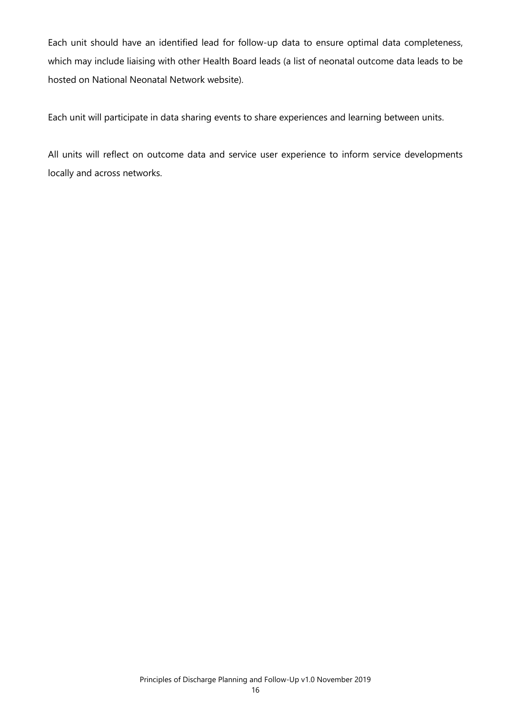Each unit should have an identified lead for follow-up data to ensure optimal data completeness, which may include liaising with other Health Board leads (a list of neonatal outcome data leads to be hosted on National Neonatal Network website).

Each unit will participate in data sharing events to share experiences and learning between units.

All units will reflect on outcome data and service user experience to inform service developments locally and across networks.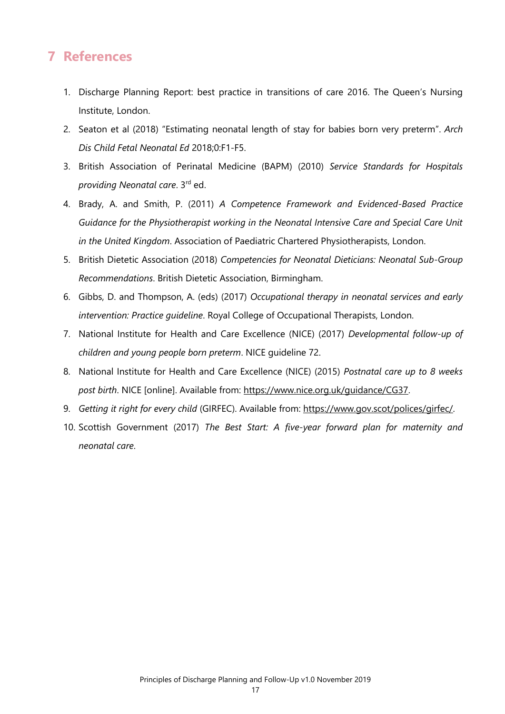## **7 References**

- 1. Discharge Planning Report: best practice in transitions of care 2016. The Queen's Nursing Institute, London.
- 2. Seaton et al (2018) "Estimating neonatal length of stay for babies born very preterm". *Arch Dis Child Fetal Neonatal Ed* 2018;0:F1-F5.
- 3. British Association of Perinatal Medicine (BAPM) (2010) *Service Standards for Hospitals providing Neonatal care*. 3rd ed.
- 4. Brady, A. and Smith, P. (2011) *A Competence Framework and Evidenced-Based Practice Guidance for the Physiotherapist working in the Neonatal Intensive Care and Special Care Unit in the United Kingdom*. Association of Paediatric Chartered Physiotherapists, London.
- 5. British Dietetic Association (2018) *Competencies for Neonatal Dieticians: Neonatal Sub-Group Recommendations*. British Dietetic Association, Birmingham.
- 6. Gibbs, D. and Thompson, A. (eds) (2017) *Occupational therapy in neonatal services and early intervention: Practice guideline*. Royal College of Occupational Therapists, London.
- 7. National Institute for Health and Care Excellence (NICE) (2017) *Developmental follow-up of children and young people born preterm*. NICE guideline 72.
- 8. National Institute for Health and Care Excellence (NICE) (2015) *Postnatal care up to 8 weeks post birth*. NICE [online]. Available from: https://www.nice.org.uk/guidance/CG37.
- 9. *Getting it right for every child* (GIRFEC). Available from: https://www.gov.scot/polices/girfec/.
- 10. Scottish Government (2017) *The Best Start: A five-year forward plan for maternity and neonatal care*.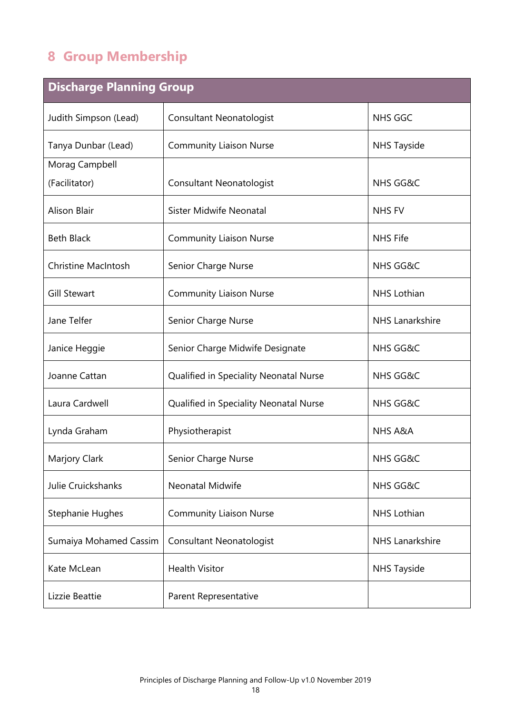# **8 Group Membership**

| <b>Discharge Planning Group</b> |                                        |                        |  |
|---------------------------------|----------------------------------------|------------------------|--|
| Judith Simpson (Lead)           | <b>Consultant Neonatologist</b>        | NHS GGC                |  |
| Tanya Dunbar (Lead)             | <b>Community Liaison Nurse</b>         | <b>NHS Tayside</b>     |  |
| Morag Campbell                  |                                        |                        |  |
| (Facilitator)                   | <b>Consultant Neonatologist</b>        | <b>NHS GG&amp;C</b>    |  |
| <b>Alison Blair</b>             | <b>Sister Midwife Neonatal</b>         | <b>NHS FV</b>          |  |
| <b>Beth Black</b>               | <b>Community Liaison Nurse</b>         | <b>NHS Fife</b>        |  |
| <b>Christine MacIntosh</b>      | Senior Charge Nurse                    | <b>NHS GG&amp;C</b>    |  |
| <b>Gill Stewart</b>             | <b>Community Liaison Nurse</b>         | NHS Lothian            |  |
| Jane Telfer                     | Senior Charge Nurse                    | <b>NHS Lanarkshire</b> |  |
| Janice Heggie                   | Senior Charge Midwife Designate        | <b>NHS GG&amp;C</b>    |  |
| Joanne Cattan                   | Qualified in Speciality Neonatal Nurse | <b>NHS GG&amp;C</b>    |  |
| Laura Cardwell                  | Qualified in Speciality Neonatal Nurse | <b>NHS GG&amp;C</b>    |  |
| Lynda Graham                    | Physiotherapist                        | NHS A&A                |  |
| Marjory Clark                   | Senior Charge Nurse                    | NHS GG&C               |  |
| Julie Cruickshanks              | <b>Neonatal Midwife</b>                | <b>NHS GG&amp;C</b>    |  |
| Stephanie Hughes                | <b>Community Liaison Nurse</b>         | <b>NHS Lothian</b>     |  |
| Sumaiya Mohamed Cassim          | <b>Consultant Neonatologist</b>        | <b>NHS Lanarkshire</b> |  |
| Kate McLean                     | <b>Health Visitor</b>                  | <b>NHS Tayside</b>     |  |
| Lizzie Beattie                  | Parent Representative                  |                        |  |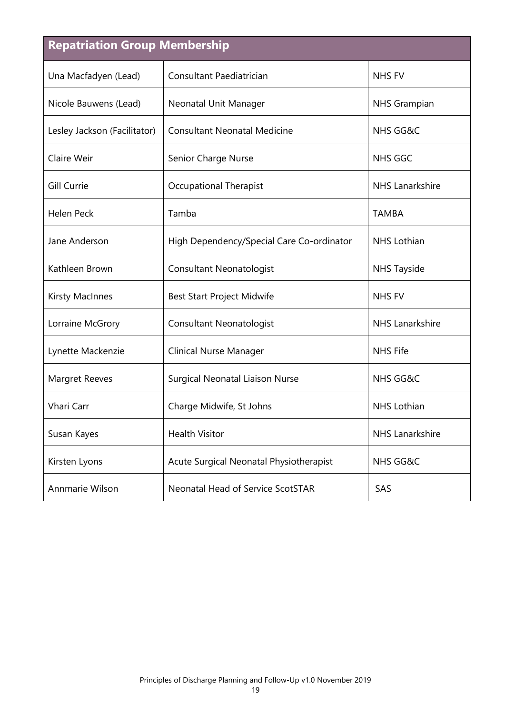| <b>Repatriation Group Membership</b> |                                           |                        |  |  |
|--------------------------------------|-------------------------------------------|------------------------|--|--|
| Una Macfadyen (Lead)                 | Consultant Paediatrician                  | <b>NHS FV</b>          |  |  |
| Nicole Bauwens (Lead)                | Neonatal Unit Manager                     | <b>NHS Grampian</b>    |  |  |
| Lesley Jackson (Facilitator)         | <b>Consultant Neonatal Medicine</b>       | <b>NHS GG&amp;C</b>    |  |  |
| Claire Weir                          | Senior Charge Nurse                       | <b>NHS GGC</b>         |  |  |
| <b>Gill Currie</b>                   | <b>Occupational Therapist</b>             | <b>NHS Lanarkshire</b> |  |  |
| <b>Helen Peck</b>                    | Tamba                                     | <b>TAMBA</b>           |  |  |
| Jane Anderson                        | High Dependency/Special Care Co-ordinator | <b>NHS Lothian</b>     |  |  |
| Kathleen Brown                       | <b>Consultant Neonatologist</b>           | <b>NHS Tayside</b>     |  |  |
| <b>Kirsty MacInnes</b>               | Best Start Project Midwife                | <b>NHS FV</b>          |  |  |
| Lorraine McGrory                     | <b>Consultant Neonatologist</b>           | <b>NHS</b> Lanarkshire |  |  |
| Lynette Mackenzie                    | <b>Clinical Nurse Manager</b>             | <b>NHS Fife</b>        |  |  |
| <b>Margret Reeves</b>                | Surgical Neonatal Liaison Nurse           | <b>NHS GG&amp;C</b>    |  |  |
| Vhari Carr                           | Charge Midwife, St Johns                  | <b>NHS Lothian</b>     |  |  |
| Susan Kayes                          | <b>Health Visitor</b>                     | <b>NHS</b> Lanarkshire |  |  |
| Kirsten Lyons                        | Acute Surgical Neonatal Physiotherapist   | <b>NHS GG&amp;C</b>    |  |  |
| Annmarie Wilson                      | <b>Neonatal Head of Service ScotSTAR</b>  | SAS                    |  |  |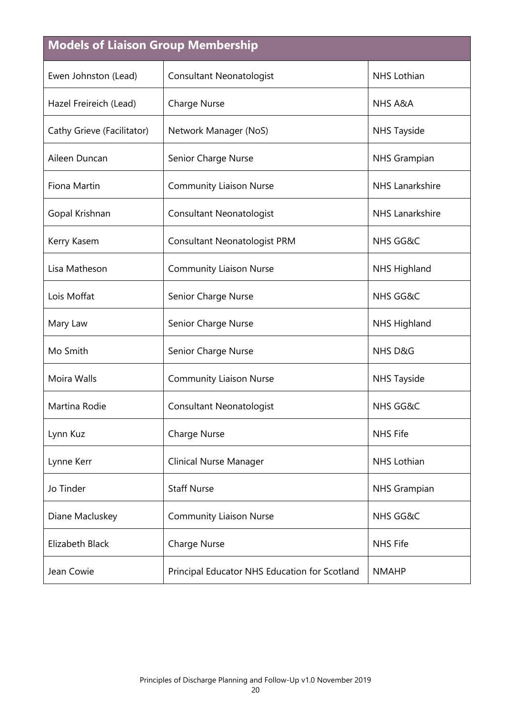# **Models of Liaison Group Membership**

| Ewen Johnston (Lead)       | <b>Consultant Neonatologist</b>               | <b>NHS Lothian</b>     |
|----------------------------|-----------------------------------------------|------------------------|
| Hazel Freireich (Lead)     | <b>Charge Nurse</b>                           | <b>NHS A&amp;A</b>     |
| Cathy Grieve (Facilitator) | Network Manager (NoS)                         | <b>NHS Tayside</b>     |
| Aileen Duncan              | Senior Charge Nurse                           | <b>NHS Grampian</b>    |
| Fiona Martin               | <b>Community Liaison Nurse</b>                | <b>NHS Lanarkshire</b> |
| Gopal Krishnan             | <b>Consultant Neonatologist</b>               | <b>NHS Lanarkshire</b> |
| Kerry Kasem                | <b>Consultant Neonatologist PRM</b>           | <b>NHS GG&amp;C</b>    |
| Lisa Matheson              | <b>Community Liaison Nurse</b>                | <b>NHS Highland</b>    |
| Lois Moffat                | Senior Charge Nurse                           | <b>NHS GG&amp;C</b>    |
| Mary Law                   | Senior Charge Nurse                           | <b>NHS Highland</b>    |
| Mo Smith                   | Senior Charge Nurse                           | NHS D&G                |
| Moira Walls                | <b>Community Liaison Nurse</b>                | <b>NHS Tayside</b>     |
| Martina Rodie              | <b>Consultant Neonatologist</b>               | <b>NHS GG&amp;C</b>    |
| Lynn Kuz                   | <b>Charge Nurse</b>                           | <b>NHS Fife</b>        |
| Lynne Kerr                 | <b>Clinical Nurse Manager</b>                 | <b>NHS</b> Lothian     |
| Jo Tinder                  | <b>Staff Nurse</b>                            | <b>NHS Grampian</b>    |
| Diane Macluskey            | <b>Community Liaison Nurse</b>                | <b>NHS GG&amp;C</b>    |
| Elizabeth Black            | <b>Charge Nurse</b>                           | <b>NHS Fife</b>        |
| Jean Cowie                 | Principal Educator NHS Education for Scotland | <b>NMAHP</b>           |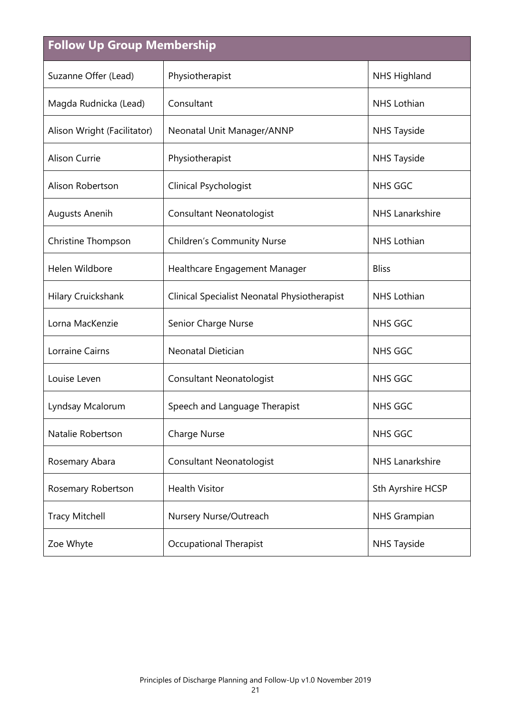| <b>Follow Up Group Membership</b> |                                              |                        |  |  |
|-----------------------------------|----------------------------------------------|------------------------|--|--|
| Suzanne Offer (Lead)              | Physiotherapist                              | <b>NHS Highland</b>    |  |  |
| Magda Rudnicka (Lead)             | Consultant                                   | <b>NHS Lothian</b>     |  |  |
| Alison Wright (Facilitator)       | Neonatal Unit Manager/ANNP                   | <b>NHS Tayside</b>     |  |  |
| Alison Currie                     | Physiotherapist                              | <b>NHS Tayside</b>     |  |  |
| Alison Robertson                  | <b>Clinical Psychologist</b>                 | <b>NHS GGC</b>         |  |  |
| <b>Augusts Anenih</b>             | <b>Consultant Neonatologist</b>              | <b>NHS Lanarkshire</b> |  |  |
| Christine Thompson                | <b>Children's Community Nurse</b>            | <b>NHS Lothian</b>     |  |  |
| Helen Wildbore                    | Healthcare Engagement Manager                | <b>Bliss</b>           |  |  |
| <b>Hilary Cruickshank</b>         | Clinical Specialist Neonatal Physiotherapist | <b>NHS Lothian</b>     |  |  |
| Lorna MacKenzie                   | Senior Charge Nurse                          | <b>NHS GGC</b>         |  |  |
| Lorraine Cairns                   | Neonatal Dietician                           | NHS GGC                |  |  |
| Louise Leven                      | <b>Consultant Neonatologist</b>              | <b>NHS GGC</b>         |  |  |
| Lyndsay Mcalorum                  | Speech and Language Therapist                | <b>NHS GGC</b>         |  |  |
| Natalie Robertson                 | <b>Charge Nurse</b>                          | <b>NHS GGC</b>         |  |  |
| Rosemary Abara                    | <b>Consultant Neonatologist</b>              | <b>NHS Lanarkshire</b> |  |  |
| Rosemary Robertson                | <b>Health Visitor</b>                        | Sth Ayrshire HCSP      |  |  |
| <b>Tracy Mitchell</b>             | Nursery Nurse/Outreach                       | <b>NHS Grampian</b>    |  |  |
| Zoe Whyte                         | <b>Occupational Therapist</b>                | <b>NHS Tayside</b>     |  |  |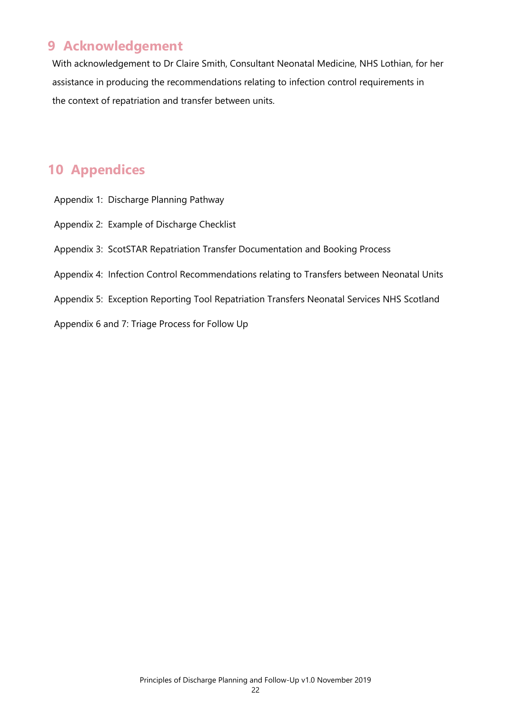## **9 Acknowledgement**

With acknowledgement to Dr Claire Smith, Consultant Neonatal Medicine, NHS Lothian, for her assistance in producing the recommendations relating to infection control requirements in the context of repatriation and transfer between units.

## **10 Appendices**

- Appendix 1: Discharge Planning Pathway
- Appendix 2: Example of Discharge Checklist
- Appendix 3: ScotSTAR Repatriation Transfer Documentation and Booking Process
- Appendix 4: Infection Control Recommendations relating to Transfers between Neonatal Units
- Appendix 5: Exception Reporting Tool Repatriation Transfers Neonatal Services NHS Scotland
- Appendix 6 and 7: Triage Process for Follow Up